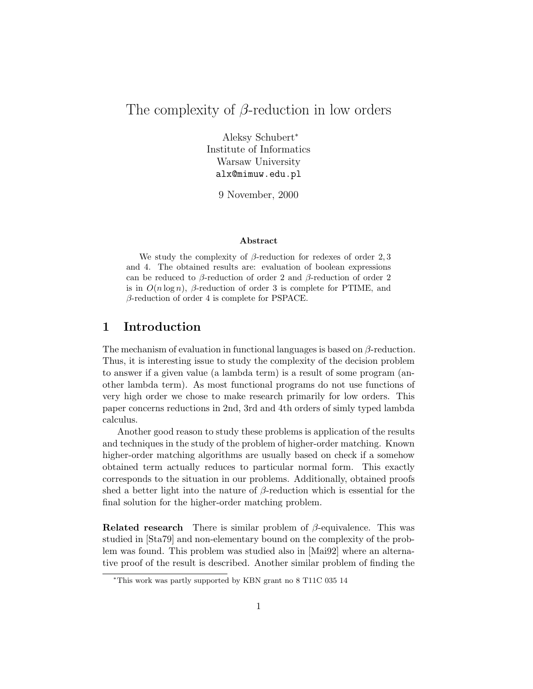# The complexity of β-reduction in low orders

Aleksy Schubert<sup>∗</sup> Institute of Informatics Warsaw University alx@mimuw.edu.pl

9 November, 2000

#### Abstract

We study the complexity of  $\beta$ -reduction for redexes of order 2,3 and 4. The obtained results are: evaluation of boolean expressions can be reduced to  $\beta$ -reduction of order 2 and  $\beta$ -reduction of order 2 is in  $O(n \log n)$ ,  $\beta$ -reduction of order 3 is complete for PTIME, and  $\beta$ -reduction of order 4 is complete for PSPACE.

## 1 Introduction

The mechanism of evaluation in functional languages is based on  $\beta$ -reduction. Thus, it is interesting issue to study the complexity of the decision problem to answer if a given value (a lambda term) is a result of some program (another lambda term). As most functional programs do not use functions of very high order we chose to make research primarily for low orders. This paper concerns reductions in 2nd, 3rd and 4th orders of simly typed lambda calculus.

Another good reason to study these problems is application of the results and techniques in the study of the problem of higher-order matching. Known higher-order matching algorithms are usually based on check if a somehow obtained term actually reduces to particular normal form. This exactly corresponds to the situation in our problems. Additionally, obtained proofs shed a better light into the nature of  $\beta$ -reduction which is essential for the final solution for the higher-order matching problem.

**Related research** There is similar problem of  $\beta$ -equivalence. This was studied in [Sta79] and non-elementary bound on the complexity of the problem was found. This problem was studied also in [Mai92] where an alternative proof of the result is described. Another similar problem of finding the

<sup>∗</sup>This work was partly supported by KBN grant no 8 T11C 035 14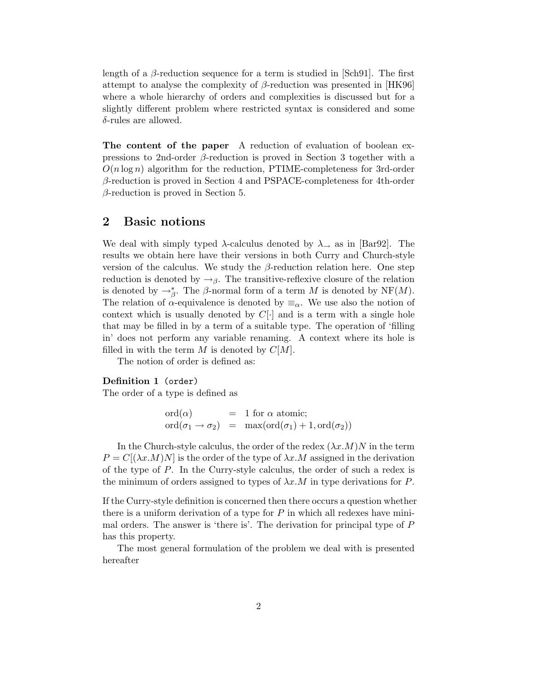length of a  $\beta$ -reduction sequence for a term is studied in [Sch91]. The first attempt to analyse the complexity of  $\beta$ -reduction was presented in [HK96] where a whole hierarchy of orders and complexities is discussed but for a slightly different problem where restricted syntax is considered and some δ-rules are allowed.

The content of the paper A reduction of evaluation of boolean expressions to 2nd-order  $\beta$ -reduction is proved in Section 3 together with a  $O(n \log n)$  algorithm for the reduction, PTIME-completeness for 3rd-order β-reduction is proved in Section 4 and PSPACE-completeness for 4th-order  $\beta$ -reduction is proved in Section 5.

## 2 Basic notions

We deal with simply typed  $\lambda$ -calculus denoted by  $\lambda_{\rightarrow}$  as in [Bar92]. The results we obtain here have their versions in both Curry and Church-style version of the calculus. We study the  $\beta$ -reduction relation here. One step reduction is denoted by  $\rightarrow$ <sub>β</sub>. The transitive-reflexive closure of the relation is denoted by  $\rightarrow_{\beta}^*$ . The  $\beta$ -normal form of a term M is denoted by NF(M). The relation of  $\alpha$ -equivalence is denoted by  $\equiv_{\alpha}$ . We use also the notion of context which is usually denoted by  $C[\cdot]$  and is a term with a single hole that may be filled in by a term of a suitable type. The operation of 'filling in' does not perform any variable renaming. A context where its hole is filled in with the term M is denoted by  $C[M]$ .

The notion of order is defined as:

#### Definition 1 (order)

The order of a type is defined as

$$
\begin{array}{rcl}\n\text{ord}(\alpha) & = & 1 \text{ for } \alpha \text{ atomic;} \\
\text{ord}(\sigma_1 \to \sigma_2) & = & \max(\text{ord}(\sigma_1) + 1, \text{ord}(\sigma_2))\n\end{array}
$$

In the Church-style calculus, the order of the redex  $(\lambda x.M)N$  in the term  $P = C[(\lambda x.M)N]$  is the order of the type of  $\lambda x.M$  assigned in the derivation of the type of P. In the Curry-style calculus, the order of such a redex is the minimum of orders assigned to types of  $\lambda x.M$  in type derivations for P.

If the Curry-style definition is concerned then there occurs a question whether there is a uniform derivation of a type for  $P$  in which all redexes have minimal orders. The answer is 'there is'. The derivation for principal type of P has this property.

The most general formulation of the problem we deal with is presented hereafter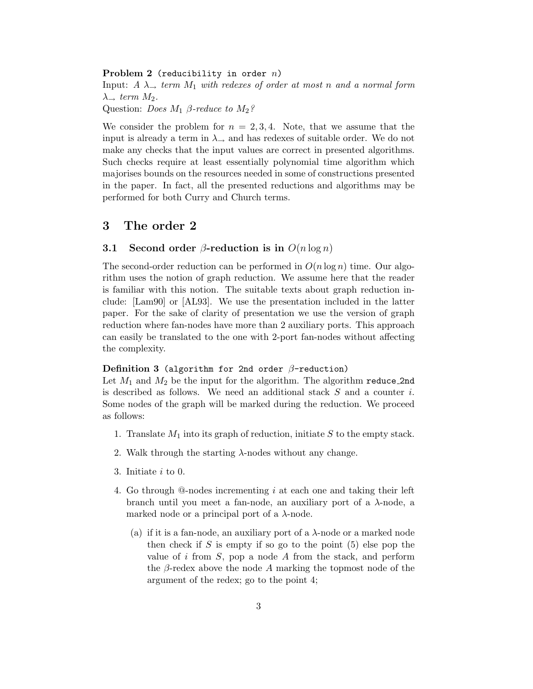#### Problem 2 (reducibility in order  $n$ )

Input:  $A \lambda_{\rightarrow}$  term  $M_1$  with redexes of order at most n and a normal form  $\lambda \rightarrow \text{term } M_2$ .

Question: *Does*  $M_1$   $\beta$ -reduce to  $M_2$ ?

We consider the problem for  $n = 2, 3, 4$ . Note, that we assume that the input is already a term in  $\lambda_{\rightarrow}$  and has redexes of suitable order. We do not make any checks that the input values are correct in presented algorithms. Such checks require at least essentially polynomial time algorithm which majorises bounds on the resources needed in some of constructions presented in the paper. In fact, all the presented reductions and algorithms may be performed for both Curry and Church terms.

## 3 The order 2

### 3.1 Second order  $\beta$ -reduction is in  $O(n \log n)$

The second-order reduction can be performed in  $O(n \log n)$  time. Our algorithm uses the notion of graph reduction. We assume here that the reader is familiar with this notion. The suitable texts about graph reduction include: [Lam90] or [AL93]. We use the presentation included in the latter paper. For the sake of clarity of presentation we use the version of graph reduction where fan-nodes have more than 2 auxiliary ports. This approach can easily be translated to the one with 2-port fan-nodes without affecting the complexity.

#### Definition 3 (algorithm for 2nd order  $\beta$ -reduction)

Let  $M_1$  and  $M_2$  be the input for the algorithm. The algorithm reduce 2nd is described as follows. We need an additional stack  $S$  and a counter  $i$ . Some nodes of the graph will be marked during the reduction. We proceed as follows:

- 1. Translate  $M_1$  into its graph of reduction, initiate S to the empty stack.
- 2. Walk through the starting  $\lambda$ -nodes without any change.
- 3. Initiate i to 0.
- 4. Go through @-nodes incrementing i at each one and taking their left branch until you meet a fan-node, an auxiliary port of a λ-node, a marked node or a principal port of a  $\lambda$ -node.
	- (a) if it is a fan-node, an auxiliary port of a  $\lambda$ -node or a marked node then check if  $S$  is empty if so go to the point  $(5)$  else pop the value of i from  $S$ , pop a node  $A$  from the stack, and perform the  $\beta$ -redex above the node A marking the topmost node of the argument of the redex; go to the point 4;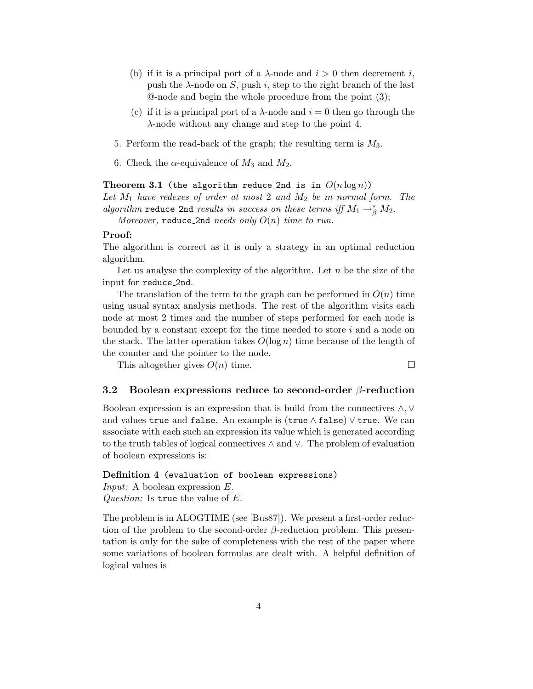- (b) if it is a principal port of a  $\lambda$ -node and  $i > 0$  then decrement i, push the  $\lambda$ -node on S, push i, step to the right branch of the last @-node and begin the whole procedure from the point (3);
- (c) if it is a principal port of a  $\lambda$ -node and  $i = 0$  then go through the λ-node without any change and step to the point 4.
- 5. Perform the read-back of the graph; the resulting term is  $M_3$ .
- 6. Check the  $\alpha$ -equivalence of  $M_3$  and  $M_2$ .

Theorem 3.1 (the algorithm reduce\_2nd is in  $O(n \log n)$ ) Let  $M_1$  have redexes of order at most 2 and  $M_2$  be in normal form. The algorithm reduce\_2nd results in success on these terms iff  $M_1 \rightarrow^*_{\beta} M_2$ .

Moreover, reduce 2nd needs only  $O(n)$  time to run.

### Proof:

The algorithm is correct as it is only a strategy in an optimal reduction algorithm.

Let us analyse the complexity of the algorithm. Let  $n$  be the size of the input for reduce 2nd.

The translation of the term to the graph can be performed in  $O(n)$  time using usual syntax analysis methods. The rest of the algorithm visits each node at most 2 times and the number of steps performed for each node is bounded by a constant except for the time needed to store  $i$  and a node on the stack. The latter operation takes  $O(\log n)$  time because of the length of the counter and the pointer to the node.

This altogether gives  $O(n)$  time.

 $\Box$ 

## 3.2 Boolean expressions reduce to second-order  $\beta$ -reduction

Boolean expression is an expression that is build from the connectives ∧,∨ and values true and false. An example is (true  $\land$  false)  $\lor$  true. We can associate with each such an expression its value which is generated according to the truth tables of logical connectives ∧ and ∨. The problem of evaluation of boolean expressions is:

Definition 4 (evaluation of boolean expressions) Input: A boolean expression E. *Question:* Is true the value of  $E$ .

The problem is in ALOGTIME (see [Bus87]). We present a first-order reduction of the problem to the second-order  $\beta$ -reduction problem. This presentation is only for the sake of completeness with the rest of the paper where some variations of boolean formulas are dealt with. A helpful definition of logical values is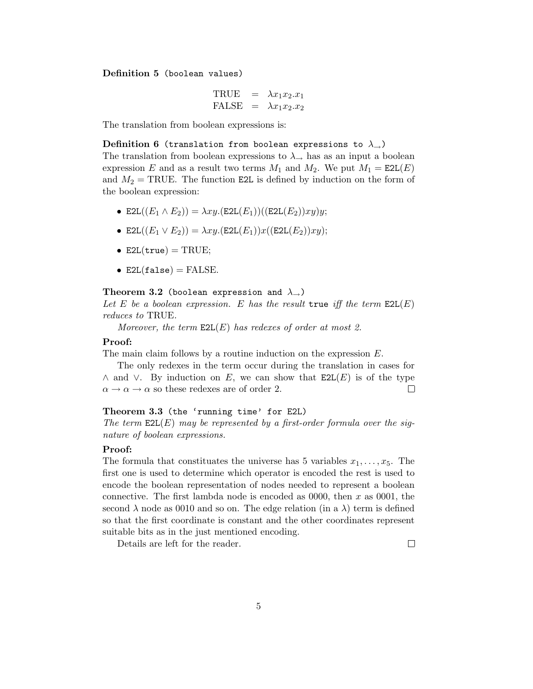Definition 5 (boolean values)

$$
\begin{array}{rcl}\n\text{TRUE} & = & \lambda x_1 x_2 \ldotp x_1 \\
\text{FALSE} & = & \lambda x_1 x_2 \ldotp x_2\n\end{array}
$$

The translation from boolean expressions is:

Definition 6 (translation from boolean expressions to  $\lambda_{\rightarrow}$ )

The translation from boolean expressions to  $\lambda_{\rightarrow}$  has as an input a boolean expression E and as a result two terms  $M_1$  and  $M_2$ . We put  $M_1 = \text{E2L}(E)$ and  $M_2$  = TRUE. The function E2L is defined by induction on the form of the boolean expression:

- E2L $((E_1 \wedge E_2)) = \lambda xy.$ (E2L $(E_1))$ )((E2L $(E_2)$ )xy)y;
- E2L $((E_1 \vee E_2)) = \lambda xy.$ (E2L $(E_1))x((E_2E_2))xy);$
- E2L $(true)$  = TRUE;
- E2L(false) = FALSE.

#### Theorem 3.2 (boolean expression and  $\lambda_{\rightarrow}$ )

Let E be a boolean expression. E has the result true iff the term  $E2L(E)$ reduces to TRUE.

Moreover, the term  $E2L(E)$  has redexes of order at most 2.

#### Proof:

The main claim follows by a routine induction on the expression E.

The only redexes in the term occur during the translation in cases for  $\wedge$  and  $\vee$ . By induction on E, we can show that E2L(E) is of the type  $\Box$  $\alpha \rightarrow \alpha \rightarrow \alpha$  so these redexes are of order 2.

### Theorem 3.3 (the 'running time' for E2L)

The term  $E2L(E)$  may be represented by a first-order formula over the signature of boolean expressions.

#### Proof:

The formula that constituates the universe has 5 variables  $x_1, \ldots, x_5$ . The first one is used to determine which operator is encoded the rest is used to encode the boolean representation of nodes needed to represent a boolean connective. The first lambda node is encoded as  $0000$ , then x as  $0001$ , the second  $\lambda$  node as 0010 and so on. The edge relation (in a  $\lambda$ ) term is defined so that the first coordinate is constant and the other coordinates represent suitable bits as in the just mentioned encoding.

Details are left for the reader.

 $\Box$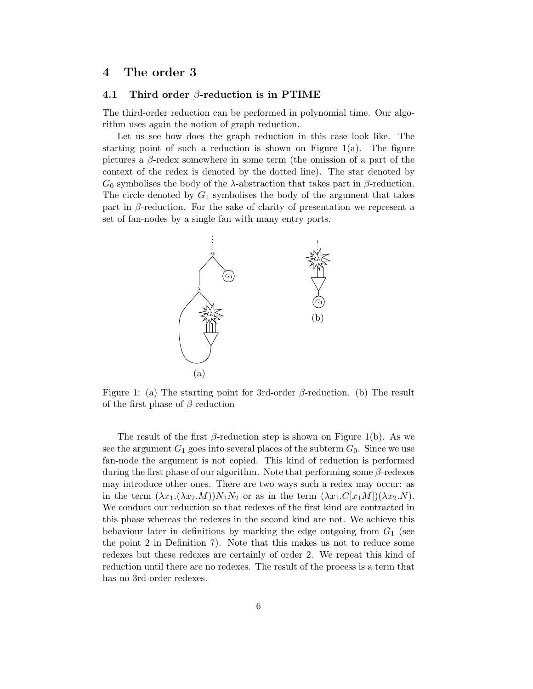## 4 The order 3

### 4.1 Third order  $\beta$ -reduction is in PTIME

The third-order reduction can be performed in polynomial time. Our algorithm uses again the notion of graph reduction.

Let us see how does the graph reduction in this case look like. The starting point of such a reduction is shown on Figure 1(a). The figure pictures a  $\beta$ -redex somewhere in some term (the omission of a part of the context of the redex is denoted by the dotted line). The star denoted by  $G_0$  symbolises the body of the  $\lambda$ -abstraction that takes part in  $\beta$ -reduction. The circle denoted by  $G_1$  symbolises the body of the argument that takes part in  $\beta$ -reduction. For the sake of clarity of presentation we represent a set of fan-nodes by a single fan with many entry ports.



Figure 1: (a) The starting point for 3rd-order  $\beta$ -reduction. (b) The result of the first phase of  $\beta$ -reduction

The result of the first  $\beta$ -reduction step is shown on Figure 1(b). As we see the argument  $G_1$  goes into several places of the subterm  $G_0$ . Since we use fan-node the argument is not copied. This kind of reduction is performed during the first phase of our algorithm. Note that performing some  $\beta$ -redexes may introduce other ones. There are two ways such a redex may occur: as in the term  $(\lambda x_1.(\lambda x_2.M))N_1N_2$  or as in the term  $(\lambda x_1.C[x_1M])(\lambda x_2.N)$ . We conduct our reduction so that redexes of the first kind are contracted in this phase whereas the redexes in the second kind are not. We achieve this behaviour later in definitions by marking the edge outgoing from  $G_1$  (see the point 2 in Definition 7). Note that this makes us not to reduce some redexes but these redexes are certainly of order 2. We repeat this kind of reduction until there are no redexes. The result of the process is a term that has no 3rd-order redexes.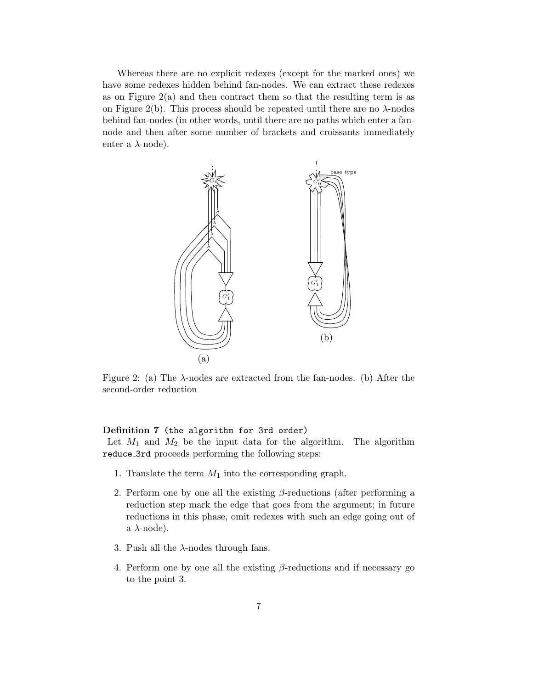Whereas there are no explicit redexes (except for the marked ones) we have some redexes hidden behind fan-nodes. We can extract these redexes as on Figure  $2(a)$  and then contract them so that the resulting term is as on Figure 2(b). This process should be repeated until there are no  $\lambda$ -nodes behind fan-nodes (in other words, until there are no paths which enter a fannode and then after some number of brackets and croissants immediately enter a  $\lambda$ -node).



Figure 2: (a) The  $\lambda$ -nodes are extracted from the fan-nodes. (b) After the second-order reduction

### Definition 7 (the algorithm for 3rd order)

Let  $M_1$  and  $M_2$  be the input data for the algorithm. The algorithm reduce 3rd proceeds performing the following steps:

- 1. Translate the term  $M_1$  into the corresponding graph.
- 2. Perform one by one all the existing  $\beta$ -reductions (after performing a reduction step mark the edge that goes from the argument; in future reductions in this phase, omit redexes with such an edge going out of a  $\lambda$ -node).
- 3. Push all the  $\lambda$ -nodes through fans.
- 4. Perform one by one all the existing  $\beta$ -reductions and if necessary go to the point 3.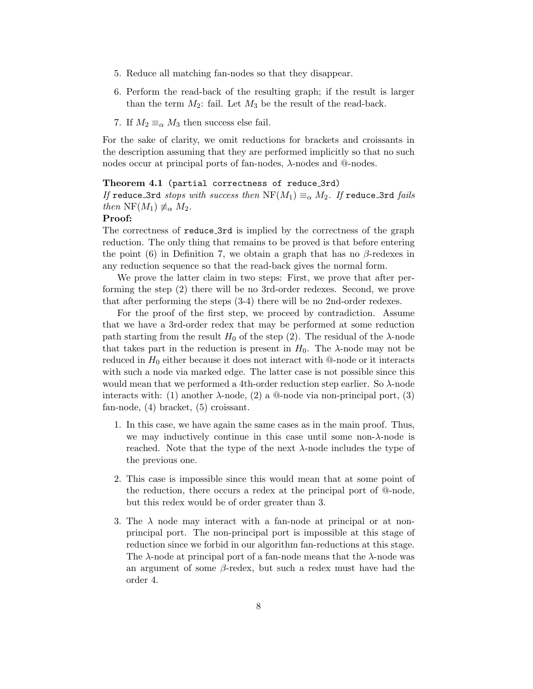- 5. Reduce all matching fan-nodes so that they disappear.
- 6. Perform the read-back of the resulting graph; if the result is larger than the term  $M_2$ : fail. Let  $M_3$  be the result of the read-back.
- 7. If  $M_2 \equiv_\alpha M_3$  then success else fail.

For the sake of clarity, we omit reductions for brackets and croissants in the description assuming that they are performed implicitly so that no such nodes occur at principal ports of fan-nodes, λ-nodes and @-nodes.

#### Theorem 4.1 (partial correctness of reduce\_3rd)

If reduce 3rd stops with success then  $\mathrm{NF}(M_1)\equiv_{\alpha} M_2$ . If reduce 3rd fails then NF( $M_1$ )  $\neq_{\alpha} M_2$ .

#### Proof:

The correctness of reduce 3rd is implied by the correctness of the graph reduction. The only thing that remains to be proved is that before entering the point (6) in Definition 7, we obtain a graph that has no  $\beta$ -redexes in any reduction sequence so that the read-back gives the normal form.

We prove the latter claim in two steps: First, we prove that after performing the step (2) there will be no 3rd-order redexes. Second, we prove that after performing the steps (3-4) there will be no 2nd-order redexes.

For the proof of the first step, we proceed by contradiction. Assume that we have a 3rd-order redex that may be performed at some reduction path starting from the result  $H_0$  of the step (2). The residual of the  $\lambda$ -node that takes part in the reduction is present in  $H_0$ . The  $\lambda$ -node may not be reduced in  $H_0$  either because it does not interact with @-node or it interacts with such a node via marked edge. The latter case is not possible since this would mean that we performed a 4th-order reduction step earlier. So λ-node interacts with: (1) another  $\lambda$ -node, (2) a @-node via non-principal port, (3) fan-node, (4) bracket, (5) croissant.

- 1. In this case, we have again the same cases as in the main proof. Thus, we may inductively continue in this case until some non- $\lambda$ -node is reached. Note that the type of the next  $\lambda$ -node includes the type of the previous one.
- 2. This case is impossible since this would mean that at some point of the reduction, there occurs a redex at the principal port of @-node, but this redex would be of order greater than 3.
- 3. The  $\lambda$  node may interact with a fan-node at principal or at nonprincipal port. The non-principal port is impossible at this stage of reduction since we forbid in our algorithm fan-reductions at this stage. The  $\lambda$ -node at principal port of a fan-node means that the  $\lambda$ -node was an argument of some  $\beta$ -redex, but such a redex must have had the order 4.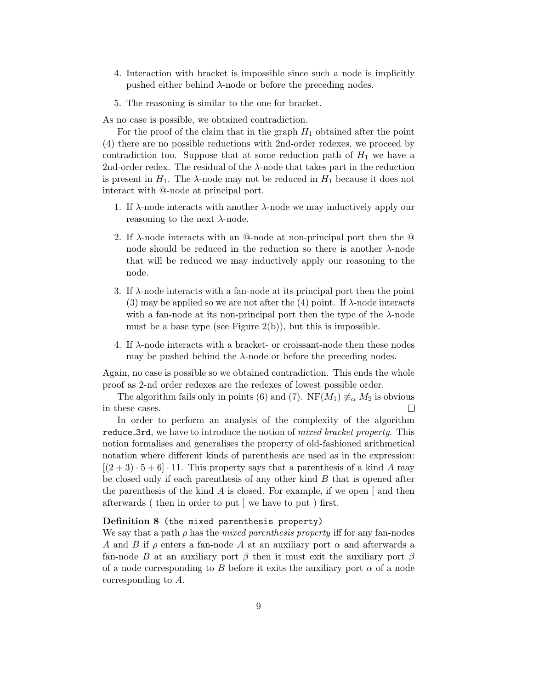- 4. Interaction with bracket is impossible since such a node is implicitly pushed either behind  $\lambda$ -node or before the preceding nodes.
- 5. The reasoning is similar to the one for bracket.

As no case is possible, we obtained contradiction.

For the proof of the claim that in the graph  $H_1$  obtained after the point (4) there are no possible reductions with 2nd-order redexes, we proceed by contradiction too. Suppose that at some reduction path of  $H_1$  we have a 2nd-order redex. The residual of the  $\lambda$ -node that takes part in the reduction is present in  $H_1$ . The  $\lambda$ -node may not be reduced in  $H_1$  because it does not interact with @-node at principal port.

- 1. If λ-node interacts with another λ-node we may inductively apply our reasoning to the next  $\lambda$ -node.
- 2. If  $\lambda$ -node interacts with an  $\mathbb{Q}$ -node at non-principal port then the  $\mathbb{Q}$ node should be reduced in the reduction so there is another  $\lambda$ -node that will be reduced we may inductively apply our reasoning to the node.
- 3. If  $\lambda$ -node interacts with a fan-node at its principal port then the point (3) may be applied so we are not after the (4) point. If  $\lambda$ -node interacts with a fan-node at its non-principal port then the type of the  $\lambda$ -node must be a base type (see Figure  $2(b)$ ), but this is impossible.
- 4. If  $\lambda$ -node interacts with a bracket- or croissant-node then these nodes may be pushed behind the  $\lambda$ -node or before the preceding nodes.

Again, no case is possible so we obtained contradiction. This ends the whole proof as 2-nd order redexes are the redexes of lowest possible order.

The algorithm fails only in points (6) and (7). NF( $M_1$ )  $\neq \alpha M_2$  is obvious in these cases.  $\Box$ 

In order to perform an analysis of the complexity of the algorithm reduce 3rd, we have to introduce the notion of *mixed bracket property*. This notion formalises and generalises the property of old-fashioned arithmetical notation where different kinds of parenthesis are used as in the expression:  $[(2+3)\cdot 5+6]\cdot 11$ . This property says that a parenthesis of a kind A may be closed only if each parenthesis of any other kind B that is opened after the parenthesis of the kind A is closed. For example, if we open  $\lceil$  and then afterwards ( then in order to put ] we have to put ) first.

## Definition 8 (the mixed parenthesis property)

We say that a path  $\rho$  has the *mixed parenthesis property* iff for any fan-nodes A and B if  $\rho$  enters a fan-node A at an auxiliary port  $\alpha$  and afterwards a fan-node B at an auxiliary port  $\beta$  then it must exit the auxiliary port  $\beta$ of a node corresponding to B before it exits the auxiliary port  $\alpha$  of a node corresponding to A.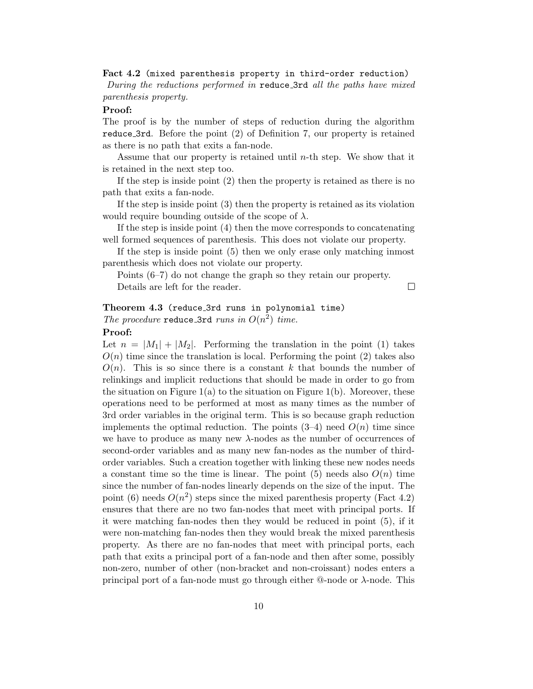Fact 4.2 (mixed parenthesis property in third-order reduction) During the reductions performed in reduce 3rd all the paths have mixed parenthesis property.

#### Proof:

The proof is by the number of steps of reduction during the algorithm reduce 3rd. Before the point (2) of Definition 7, our property is retained as there is no path that exits a fan-node.

Assume that our property is retained until  $n$ -th step. We show that it is retained in the next step too.

If the step is inside point (2) then the property is retained as there is no path that exits a fan-node.

If the step is inside point (3) then the property is retained as its violation would require bounding outside of the scope of  $\lambda$ .

If the step is inside point (4) then the move corresponds to concatenating well formed sequences of parenthesis. This does not violate our property.

If the step is inside point (5) then we only erase only matching inmost parenthesis which does not violate our property.

Points (6–7) do not change the graph so they retain our property.

Details are left for the reader.

 $\Box$ 

## Theorem 4.3 (reduce\_3rd runs in polynomial time) The procedure reduce 3rd runs in  $O(n^2)$  time.

### Proof:

Let  $n = |M_1| + |M_2|$ . Performing the translation in the point (1) takes  $O(n)$  time since the translation is local. Performing the point (2) takes also  $O(n)$ . This is so since there is a constant k that bounds the number of relinkings and implicit reductions that should be made in order to go from the situation on Figure  $1(a)$  to the situation on Figure  $1(b)$ . Moreover, these operations need to be performed at most as many times as the number of 3rd order variables in the original term. This is so because graph reduction implements the optimal reduction. The points  $(3-4)$  need  $O(n)$  time since we have to produce as many new  $\lambda$ -nodes as the number of occurrences of second-order variables and as many new fan-nodes as the number of thirdorder variables. Such a creation together with linking these new nodes needs a constant time so the time is linear. The point  $(5)$  needs also  $O(n)$  time since the number of fan-nodes linearly depends on the size of the input. The point (6) needs  $O(n^2)$  steps since the mixed parenthesis property (Fact 4.2) ensures that there are no two fan-nodes that meet with principal ports. If it were matching fan-nodes then they would be reduced in point (5), if it were non-matching fan-nodes then they would break the mixed parenthesis property. As there are no fan-nodes that meet with principal ports, each path that exits a principal port of a fan-node and then after some, possibly non-zero, number of other (non-bracket and non-croissant) nodes enters a principal port of a fan-node must go through either  $@$ -node or  $\lambda$ -node. This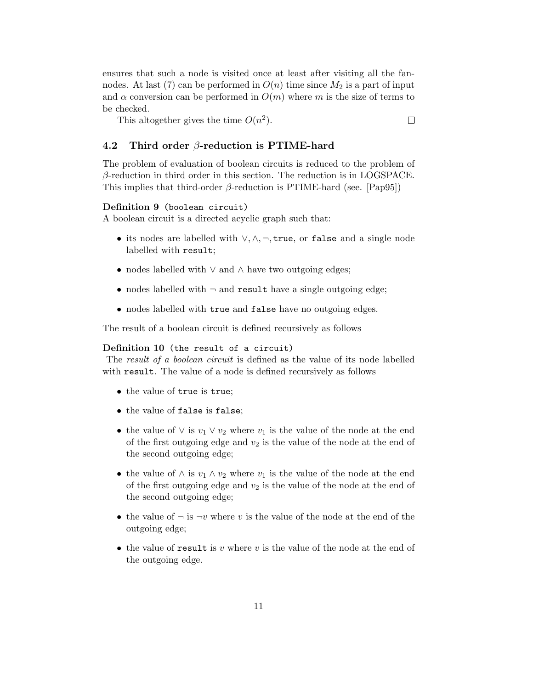ensures that such a node is visited once at least after visiting all the fannodes. At last (7) can be performed in  $O(n)$  time since  $M_2$  is a part of input and  $\alpha$  conversion can be performed in  $O(m)$  where m is the size of terms to be checked.

This altogether gives the time  $O(n^2)$ .

### 4.2 Third order  $\beta$ -reduction is PTIME-hard

The problem of evaluation of boolean circuits is reduced to the problem of  $\beta$ -reduction in third order in this section. The reduction is in LOGSPACE. This implies that third-order  $\beta$ -reduction is PTIME-hard (see. [Pap95])

### Definition 9 (boolean circuit)

A boolean circuit is a directed acyclic graph such that:

- its nodes are labelled with  $\vee, \wedge, \neg$ , true, or false and a single node labelled with result;
- nodes labelled with ∨ and ∧ have two outgoing edges;
- nodes labelled with  $\neg$  and result have a single outgoing edge;
- nodes labelled with true and false have no outgoing edges.

The result of a boolean circuit is defined recursively as follows

#### Definition 10 (the result of a circuit)

The *result of a boolean circuit* is defined as the value of its node labelled with result. The value of a node is defined recursively as follows

- the value of true is true;
- the value of false is false;
- the value of  $\vee$  is  $v_1 \vee v_2$  where  $v_1$  is the value of the node at the end of the first outgoing edge and  $v_2$  is the value of the node at the end of the second outgoing edge;
- the value of  $\wedge$  is  $v_1 \wedge v_2$  where  $v_1$  is the value of the node at the end of the first outgoing edge and  $v_2$  is the value of the node at the end of the second outgoing edge;
- the value of  $\neg$  is  $\neg v$  where v is the value of the node at the end of the outgoing edge;
- the value of result is v where v is the value of the node at the end of the outgoing edge.

 $\Box$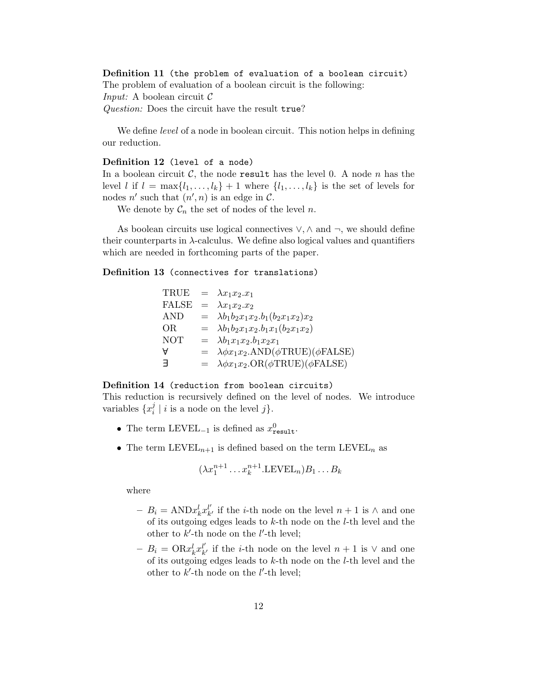Definition 11 (the problem of evaluation of a boolean circuit) The problem of evaluation of a boolean circuit is the following: *Input:* A boolean circuit  $\mathcal C$ Question: Does the circuit have the result true?

We define *level* of a node in boolean circuit. This notion helps in defining our reduction.

### Definition 12 (level of a node)

In a boolean circuit  $\mathcal{C}$ , the node result has the level 0. A node n has the level l if  $l = \max\{l_1, \ldots, l_k\} + 1$  where  $\{l_1, \ldots, l_k\}$  is the set of levels for nodes n' such that  $(n', n)$  is an edge in C.

We denote by  $C_n$  the set of nodes of the level n.

As boolean circuits use logical connectives  $\vee$ ,  $\wedge$  and  $\neg$ , we should define their counterparts in  $\lambda$ -calculus. We define also logical values and quantifiers which are needed in forthcoming parts of the paper.

#### Definition 13 (connectives for translations)

| ㅋ          | $= \lambda \phi x_1 x_2 \cdot \text{OR}(\phi \text{TRUE})(\phi \text{FALSE})$ |
|------------|-------------------------------------------------------------------------------|
| A          | $= \lambda \phi x_1 x_2$ .AND( $\phi$ TRUE)( $\phi$ FALSE)                    |
| <b>NOT</b> | $= \lambda b_1 x_1 x_2 b_1 x_2 x_1$                                           |
| OR.        | $= \lambda b_1 b_2 x_1 x_2 b_1 x_1 (b_2 x_1 x_2)$                             |
| <b>AND</b> | $= \lambda b_1 b_2 x_1 x_2.b_1 (b_2 x_1 x_2) x_2$                             |
| FALSE      | $= \lambda x_1 x_2 x_2$                                                       |
|            | TRUE = $\lambda x_1 x_2 \ldots x_1$                                           |

#### Definition 14 (reduction from boolean circuits)

This reduction is recursively defined on the level of nodes. We introduce variables  $\{x_i^j\}$  $\binom{3}{i}$  | *i* is a node on the level *j* }.

- The term LEVEL<sub>-1</sub> is defined as  $x_{\text{result}}^0$ .
- The term  $\text{LEVEL}_{n+1}$  is defined based on the term  $\text{LEVEL}_n$  as

$$
(\lambda x_1^{n+1} \dots x_k^{n+1}.\text{LEVEL}_n) B_1 \dots B_k
$$

where

- $-B_i = \text{AND} x_k^l x_k^{l'}$  $\mu'_{k'}$  if the *i*-th node on the level *n* + 1 is ∧ and one of its outgoing edges leads to  $k$ -th node on the  $l$ -th level and the other to  $k'$ -th node on the  $l'$ -th level;
- $-B_i = \text{OR} x_k^l x_k^{l'}$  $\mu'_{k'}$  if the *i*-th node on the level  $n+1$  is  $\vee$  and one of its outgoing edges leads to  $k$ -th node on the  $l$ -th level and the other to  $k'$ -th node on the  $l'$ -th level;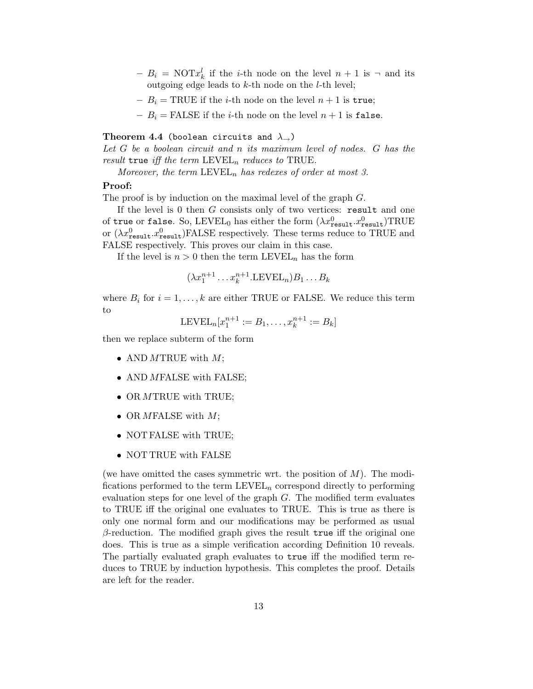- $-B_i = \text{NOT} x_k^l$  if the *i*-th node on the level  $n+1$  is  $\neg$  and its outgoing edge leads to  $k$ -th node on the  $l$ -th level;
- $-B_i = \text{TRUE}$  if the *i*-th node on the level  $n+1$  is true;
- $-B_i = \text{FALSE if the } i\text{-th node on the level } n+1 \text{ is false.}$

#### Theorem 4.4 (boolean circuits and  $\lambda_{\rightarrow}$ )

Let G be a boolean circuit and n its maximum level of nodes. G has the result true iff the term  $\text{LEVEL}_n$  reduces to TRUE.

Moreover, the term  $\text{LEVEL}_n$  has redexes of order at most 3.

### Proof:

The proof is by induction on the maximal level of the graph  $G$ .

If the level is  $0$  then  $G$  consists only of two vertices: result and one of true or false. So, LEVEL<sub>0</sub> has either the form  $(\lambda x_{\tt result}^0.x_{\tt result}^0) \text{TRUE}$ or  $(\lambda x_{\text{result}}^0.x_{\text{result}}^0)$ FALSE respectively. These terms reduce to TRUE and FALSE respectively. This proves our claim in this case.

If the level is  $n > 0$  then the term  $\text{LEVEL}_n$  has the form

$$
(\lambda x_1^{n+1} \dots x_k^{n+1}.\text{LEVEL}_n) B_1 \dots B_k
$$

where  $B_i$  for  $i = 1, \ldots, k$  are either TRUE or FALSE. We reduce this term to

$$
LEVEL_n[x_1^{n+1} := B_1, \dots, x_k^{n+1} := B_k]
$$

then we replace subterm of the form

- AND MTRUE with  $M$ ;
- AND MFALSE with FALSE;
- OR MTRUE with TRUE;
- OR *M*FALSE with  $M$ ;
- NOT FALSE with TRUE;
- NOT TRUE with FALSE

(we have omitted the cases symmetric wrt. the position of  $M$ ). The modifications performed to the term  $\text{LEVEL}_n$  correspond directly to performing evaluation steps for one level of the graph  $G$ . The modified term evaluates to TRUE iff the original one evaluates to TRUE. This is true as there is only one normal form and our modifications may be performed as usual  $\beta$ -reduction. The modified graph gives the result true iff the original one does. This is true as a simple verification according Definition 10 reveals. The partially evaluated graph evaluates to true iff the modified term reduces to TRUE by induction hypothesis. This completes the proof. Details are left for the reader.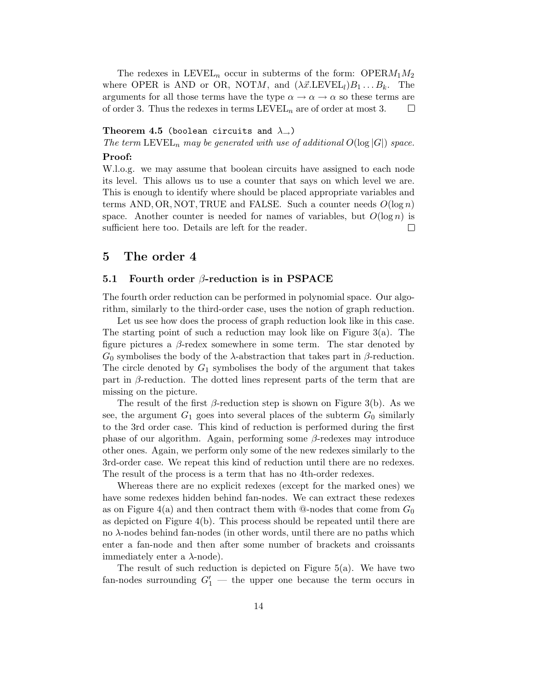The redexes in LEVEL<sub>n</sub> occur in subterms of the form: OPER $M_1M_2$ where OPER is AND or OR, NOTM, and  $(\lambda \vec{x} \cdot \text{LEVEL}_l)B_1 \dots B_k$ . The arguments for all those terms have the type  $\alpha \to \alpha \to \alpha$  so these terms are of order 3. Thus the redexes in terms  $\text{LEVEL}_n$  are of order at most 3.  $\Box$ 

#### Theorem 4.5 (boolean circuits and  $\lambda_{\rightarrow}$ )

The term  $\text{LEVEL}_n$  may be generated with use of additional  $O(\log |G|)$  space.

#### Proof:

W.l.o.g. we may assume that boolean circuits have assigned to each node its level. This allows us to use a counter that says on which level we are. This is enough to identify where should be placed appropriate variables and terms AND, OR, NOT, TRUE and FALSE. Such a counter needs  $O(\log n)$ space. Another counter is needed for names of variables, but  $O(\log n)$  is sufficient here too. Details are left for the reader.  $\Box$ 

## 5 The order 4

### 5.1 Fourth order  $\beta$ -reduction is in PSPACE

The fourth order reduction can be performed in polynomial space. Our algorithm, similarly to the third-order case, uses the notion of graph reduction.

Let us see how does the process of graph reduction look like in this case. The starting point of such a reduction may look like on Figure 3(a). The figure pictures a  $\beta$ -redex somewhere in some term. The star denoted by  $G_0$  symbolises the body of the  $\lambda$ -abstraction that takes part in  $\beta$ -reduction. The circle denoted by  $G_1$  symbolises the body of the argument that takes part in  $\beta$ -reduction. The dotted lines represent parts of the term that are missing on the picture.

The result of the first  $\beta$ -reduction step is shown on Figure 3(b). As we see, the argument  $G_1$  goes into several places of the subterm  $G_0$  similarly to the 3rd order case. This kind of reduction is performed during the first phase of our algorithm. Again, performing some β-redexes may introduce other ones. Again, we perform only some of the new redexes similarly to the 3rd-order case. We repeat this kind of reduction until there are no redexes. The result of the process is a term that has no 4th-order redexes.

Whereas there are no explicit redexes (except for the marked ones) we have some redexes hidden behind fan-nodes. We can extract these redexes as on Figure 4(a) and then contract them with  $@$ -nodes that come from  $G_0$ as depicted on Figure 4(b). This process should be repeated until there are no λ-nodes behind fan-nodes (in other words, until there are no paths which enter a fan-node and then after some number of brackets and croissants immediately enter a  $\lambda$ -node).

The result of such reduction is depicted on Figure 5(a). We have two fan-nodes surrounding  $G'_1$  — the upper one because the term occurs in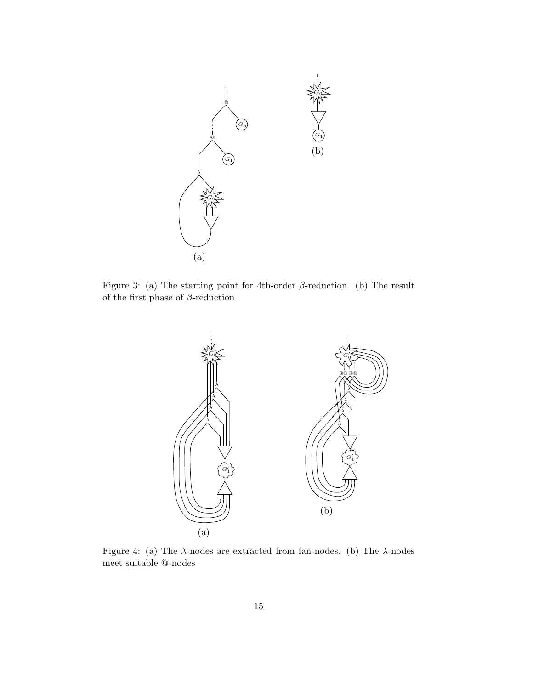

Figure 3: (a) The starting point for 4th-order  $\beta$ -reduction. (b) The result of the first phase of  $\beta\text{-reduction}$ 



Figure 4: (a) The  $\lambda$ -nodes are extracted from fan-nodes. (b) The  $\lambda$ -nodes meet suitable @-nodes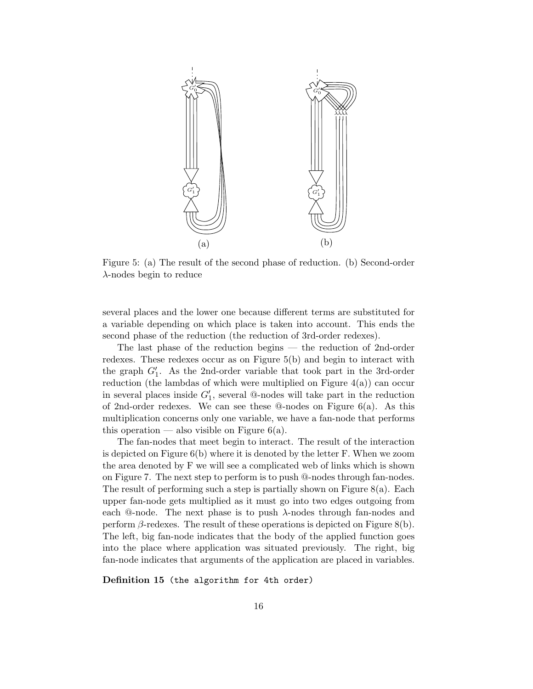

Figure 5: (a) The result of the second phase of reduction. (b) Second-order λ-nodes begin to reduce

several places and the lower one because different terms are substituted for a variable depending on which place is taken into account. This ends the second phase of the reduction (the reduction of 3rd-order redexes).

The last phase of the reduction begins — the reduction of 2nd-order redexes. These redexes occur as on Figure 5(b) and begin to interact with the graph  $G'_1$ . As the 2nd-order variable that took part in the 3rd-order reduction (the lambdas of which were multiplied on Figure  $4(a)$ ) can occur in several places inside  $G'_1$ , several @-nodes will take part in the reduction of 2nd-order redexes. We can see these @-nodes on Figure 6(a). As this multiplication concerns only one variable, we have a fan-node that performs this operation — also visible on Figure  $6(a)$ .

The fan-nodes that meet begin to interact. The result of the interaction is depicted on Figure 6(b) where it is denoted by the letter F. When we zoom the area denoted by F we will see a complicated web of links which is shown on Figure 7. The next step to perform is to push @-nodes through fan-nodes. The result of performing such a step is partially shown on Figure  $8(a)$ . Each upper fan-node gets multiplied as it must go into two edges outgoing from each  $\Phi$ -node. The next phase is to push  $\lambda$ -nodes through fan-nodes and perform  $\beta$ -redexes. The result of these operations is depicted on Figure 8(b). The left, big fan-node indicates that the body of the applied function goes into the place where application was situated previously. The right, big fan-node indicates that arguments of the application are placed in variables.

Definition 15 (the algorithm for 4th order)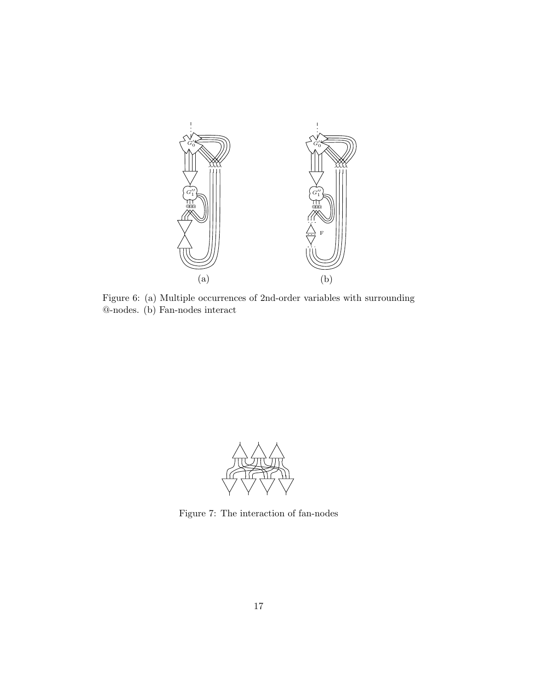

Figure 6: (a) Multiple occurrences of 2nd-order variables with surrounding @-nodes. (b) Fan-nodes interact



Figure 7: The interaction of fan-nodes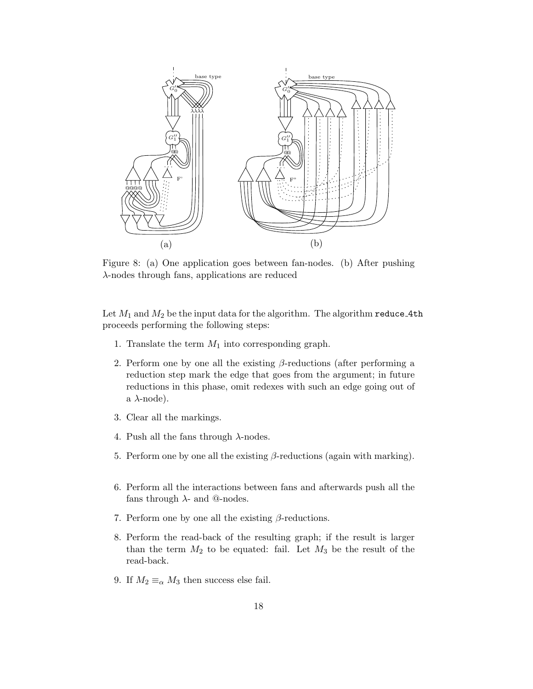

Figure 8: (a) One application goes between fan-nodes. (b) After pushing λ-nodes through fans, applications are reduced

Let  $M_1$  and  $M_2$  be the input data for the algorithm. The algorithm  ${\tt reduce\text{-}4th}$ proceeds performing the following steps:

- 1. Translate the term  $M_1$  into corresponding graph.
- 2. Perform one by one all the existing  $\beta$ -reductions (after performing a reduction step mark the edge that goes from the argument; in future reductions in this phase, omit redexes with such an edge going out of a  $\lambda$ -node).
- 3. Clear all the markings.
- 4. Push all the fans through  $\lambda$ -nodes.
- 5. Perform one by one all the existing  $\beta$ -reductions (again with marking).
- 6. Perform all the interactions between fans and afterwards push all the fans through  $\lambda$ - and @-nodes.
- 7. Perform one by one all the existing  $\beta$ -reductions.
- 8. Perform the read-back of the resulting graph; if the result is larger than the term  $M_2$  to be equated: fail. Let  $M_3$  be the result of the read-back.
- 9. If  $M_2 \equiv_\alpha M_3$  then success else fail.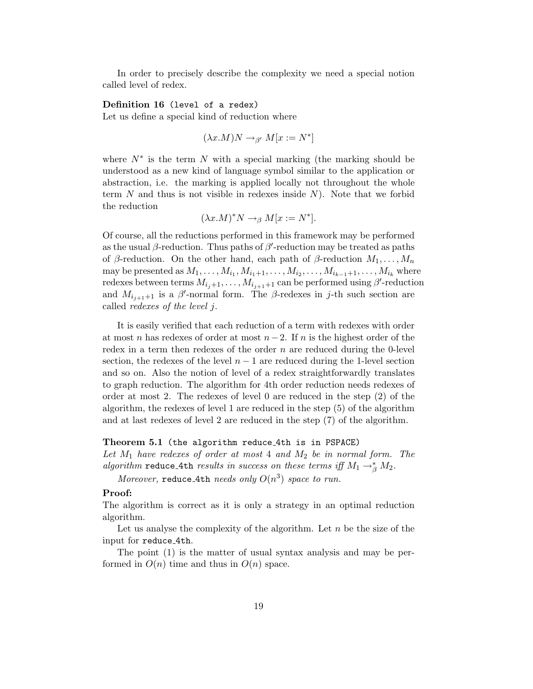In order to precisely describe the complexity we need a special notion called level of redex.

### Definition 16 (level of a redex)

Let us define a special kind of reduction where

 $(\lambda x.M)N \rightarrow_{\beta'} M[x := N^*]$ 

where  $N^*$  is the term N with a special marking (the marking should be understood as a new kind of language symbol similar to the application or abstraction, i.e. the marking is applied locally not throughout the whole term N and thus is not visible in redexes inside  $N$ ). Note that we forbid the reduction

$$
(\lambda x.M)^* N \to_{\beta} M[x := N^*].
$$

Of course, all the reductions performed in this framework may be performed as the usual  $\beta$ -reduction. Thus paths of  $\beta'$ -reduction may be treated as paths of β-reduction. On the other hand, each path of β-reduction  $M_1, \ldots, M_n$ may be presented as  $M_1, \ldots, M_{i_1}, M_{i_1+1}, \ldots, M_{i_2}, \ldots, M_{i_{k-1}+1}, \ldots, M_{i_k}$  where redexes between terms  $M_{i_j+1}, \ldots, M_{i_{j+1}+1}$  can be performed using  $\beta'$ -reduction and  $M_{i_{j+1}+1}$  is a  $\beta'$ -normal form. The  $\beta$ -redexes in j-th such section are called redexes of the level j.

It is easily verified that each reduction of a term with redexes with order at most n has redexes of order at most  $n-2$ . If n is the highest order of the redex in a term then redexes of the order  $n$  are reduced during the 0-level section, the redexes of the level  $n - 1$  are reduced during the 1-level section and so on. Also the notion of level of a redex straightforwardly translates to graph reduction. The algorithm for 4th order reduction needs redexes of order at most 2. The redexes of level 0 are reduced in the step (2) of the algorithm, the redexes of level 1 are reduced in the step (5) of the algorithm and at last redexes of level 2 are reduced in the step (7) of the algorithm.

#### Theorem 5.1 (the algorithm reduce 4th is in PSPACE)

Let  $M_1$  have redexes of order at most 4 and  $M_2$  be in normal form. The algorithm reduce\_4th results in success on these terms iff  $M_1 \rightarrow^*_{\beta} M_2$ .

Moreover, reduce 4th needs only  $O(n^3)$  space to run.

### Proof:

The algorithm is correct as it is only a strategy in an optimal reduction algorithm.

Let us analyse the complexity of the algorithm. Let  $n$  be the size of the input for reduce 4th.

The point (1) is the matter of usual syntax analysis and may be performed in  $O(n)$  time and thus in  $O(n)$  space.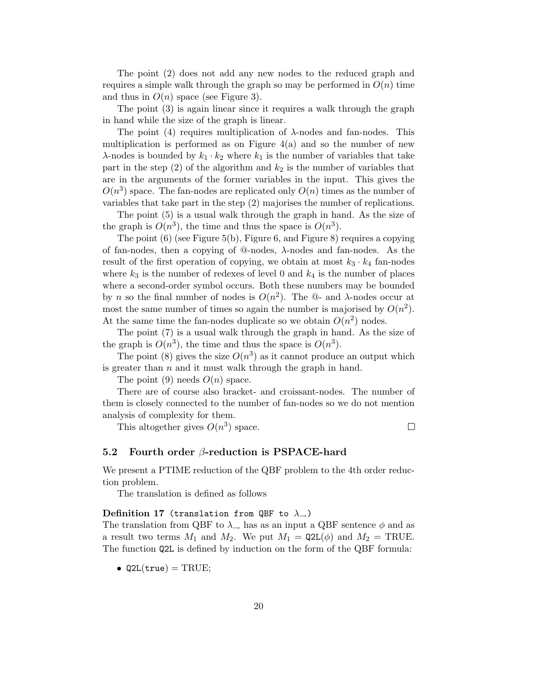The point (2) does not add any new nodes to the reduced graph and requires a simple walk through the graph so may be performed in  $O(n)$  time and thus in  $O(n)$  space (see Figure 3).

The point (3) is again linear since it requires a walk through the graph in hand while the size of the graph is linear.

The point (4) requires multiplication of  $\lambda$ -nodes and fan-nodes. This multiplication is performed as on Figure  $4(a)$  and so the number of new  $\lambda$ -nodes is bounded by  $k_1 \cdot k_2$  where  $k_1$  is the number of variables that take part in the step  $(2)$  of the algorithm and  $k_2$  is the number of variables that are in the arguments of the former variables in the input. This gives the  $O(n^3)$  space. The fan-nodes are replicated only  $O(n)$  times as the number of variables that take part in the step (2) majorises the number of replications.

The point (5) is a usual walk through the graph in hand. As the size of the graph is  $O(n^3)$ , the time and thus the space is  $O(n^3)$ .

The point (6) (see Figure 5(b), Figure 6, and Figure 8) requires a copying of fan-nodes, then a copying of  $@$ -nodes,  $\lambda$ -nodes and fan-nodes. As the result of the first operation of copying, we obtain at most  $k_3 \cdot k_4$  fan-nodes where  $k_3$  is the number of redexes of level 0 and  $k_4$  is the number of places where a second-order symbol occurs. Both these numbers may be bounded by *n* so the final number of nodes is  $O(n^2)$ . The  $\mathbb{Q}$ - and  $\lambda$ -nodes occur at most the same number of times so again the number is majorised by  $O(n^2)$ . At the same time the fan-nodes duplicate so we obtain  $O(n^2)$  nodes.

The point (7) is a usual walk through the graph in hand. As the size of the graph is  $O(n^3)$ , the time and thus the space is  $O(n^3)$ .

The point (8) gives the size  $O(n^3)$  as it cannot produce an output which is greater than  $n$  and it must walk through the graph in hand.

The point (9) needs  $O(n)$  space.

There are of course also bracket- and croissant-nodes. The number of them is closely connected to the number of fan-nodes so we do not mention analysis of complexity for them.

This altogether gives  $O(n^3)$  space.

 $\Box$ 

#### 5.2 Fourth order  $\beta$ -reduction is PSPACE-hard

We present a PTIME reduction of the QBF problem to the 4th order reduction problem.

The translation is defined as follows

#### Definition 17 (translation from QBF to  $\lambda_{\rightarrow}$ )

The translation from QBF to  $\lambda_{\rightarrow}$  has as an input a QBF sentence  $\phi$  and as a result two terms  $M_1$  and  $M_2$ . We put  $M_1 = \mathsf{Q2L}(\phi)$  and  $M_2 = \text{TRUE}$ . The function Q2L is defined by induction on the form of the QBF formula:

•  $Q2L(true) = TRUE;$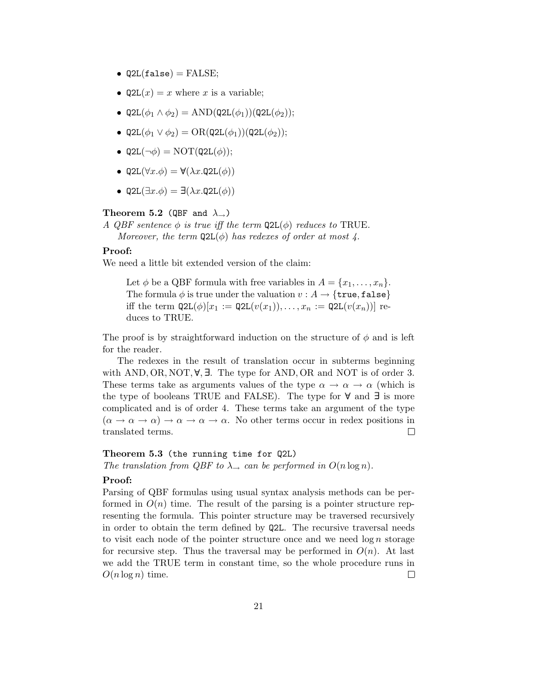- $Q2L(false) = FALSE;$
- $Q2L(x) = x$  where x is a variable;
- Q2L $(\phi_1 \wedge \phi_2)$  = AND(Q2L $(\phi_1)$ )(Q2L $(\phi_2)$ );
- Q2L $(\phi_1 \vee \phi_2) = \text{OR}(\text{Q2L}(\phi_1))(\text{Q2L}(\phi_2));$
- Q2L $(\neg \phi)$  = NOT $(Q2L(\phi))$ ;
- Q2L $(\forall x.\phi) = \forall (\lambda x.$ Q2L $(\phi))$
- Q2L $(\exists x.\phi) = \exists (\lambda x.$ Q2L $(\phi))$

#### Theorem 5.2 (QBF and  $\lambda_{\rightarrow}$ )

A QBF sentence  $\phi$  is true iff the term  $Q2L(\phi)$  reduces to TRUE.

Moreover, the term  $Q2L(\phi)$  has redexes of order at most 4.

#### Proof:

We need a little bit extended version of the claim:

Let  $\phi$  be a QBF formula with free variables in  $A = \{x_1, \ldots, x_n\}.$ The formula  $\phi$  is true under the valuation  $v : A \rightarrow \{true, false\}$ iff the term  $\mathsf{Q2L}(\phi)[x_1 := \mathsf{Q2L}(v(x_1)), \ldots, x_n := \mathsf{Q2L}(v(x_n))]$  reduces to TRUE.

The proof is by straightforward induction on the structure of  $\phi$  and is left for the reader.

The redexes in the result of translation occur in subterms beginning with AND, OR, NOT,  $\forall$ ,  $\exists$ . The type for AND, OR and NOT is of order 3. These terms take as arguments values of the type  $\alpha \to \alpha \to \alpha$  (which is the type of booleans TRUE and FALSE). The type for ∀ and ∃ is more complicated and is of order 4. These terms take an argument of the type  $(\alpha \to \alpha \to \alpha) \to \alpha \to \alpha \to \alpha$ . No other terms occur in redex positions in translated terms.  $\Box$ 

### Theorem 5.3 (the running time for Q2L)

The translation from QBF to  $\lambda_{\rightarrow}$  can be performed in  $O(n \log n)$ .

### Proof:

Parsing of QBF formulas using usual syntax analysis methods can be performed in  $O(n)$  time. The result of the parsing is a pointer structure representing the formula. This pointer structure may be traversed recursively in order to obtain the term defined by Q2L. The recursive traversal needs to visit each node of the pointer structure once and we need  $\log n$  storage for recursive step. Thus the traversal may be performed in  $O(n)$ . At last we add the TRUE term in constant time, so the whole procedure runs in  $O(n \log n)$  time.  $\Box$